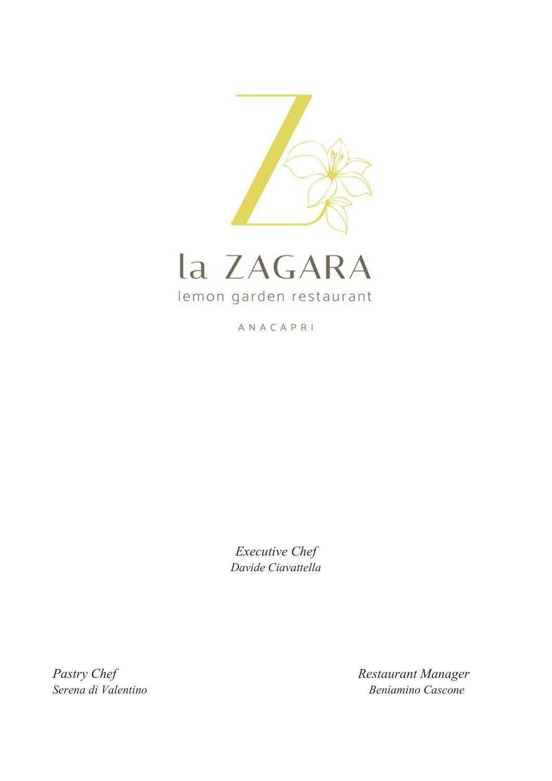



ANACAPRI

*Executive Chef Davide Ciavattella*

Pastry Chef Restaurant Manager *Serena di Valentino Beniamino Cascone*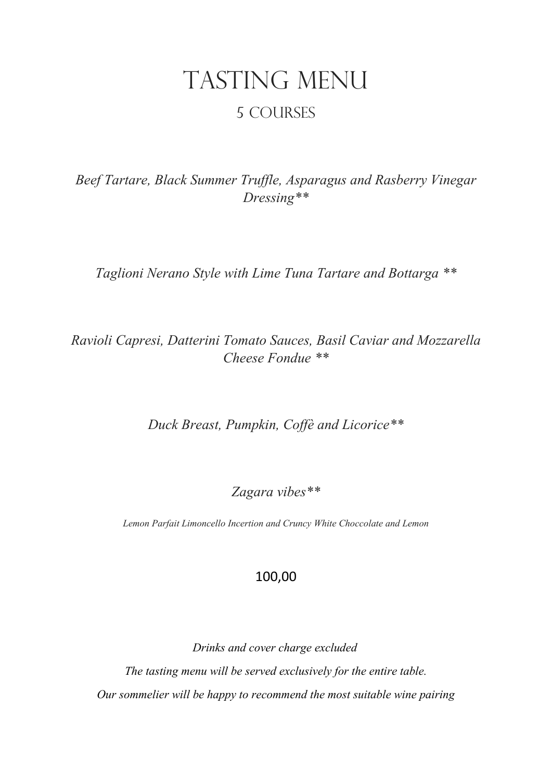# TASTING MENU 5 courses

*Beef Tartare, Black Summer Truffle, Asparagus and Rasberry Vinegar Dressing\*\**

*Taglioni Nerano Style with Lime Tuna Tartare and Bottarga \*\**

*Ravioli Capresi, Datterini Tomato Sauces, Basil Caviar and Mozzarella Cheese Fondue \*\**

*Duck Breast, Pumpkin, Coffè and Licorice\*\**

*Zagara vibes\*\**

*Lemon Parfait Limoncello Incertion and Cruncy White Choccolate and Lemon*

### 100,00

 *Drinks and cover charge excluded The tasting menu will be served exclusively for the entire table. Our sommelier will be happy to recommend the most suitable wine pairing*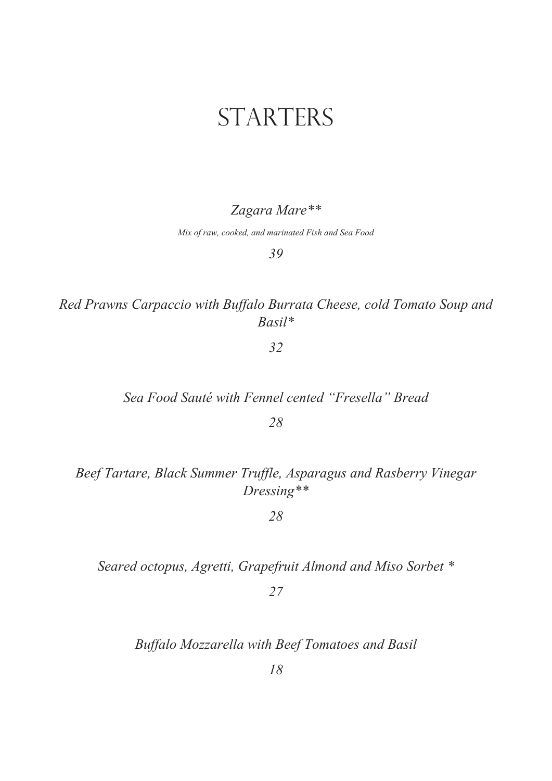## STARTERS

#### *Zagara Mare\*\**

*Mix of raw, cooked, and marinated Fish and Sea Food*

*39* 

*Red Prawns Carpaccio with Buffalo Burrata Cheese, cold Tomato Soup and Basil\** 

*32*

#### *Sea Food Sauté with Fennel cented "Fresella" Bread*

*28* 

*Beef Tartare, Black Summer Truffle, Asparagus and Rasberry Vinegar Dressing\*\**

*28*

*Seared octopus, Agretti, Grapefruit Almond and Miso Sorbet \**

*27*

*Buffalo Mozzarella with Beef Tomatoes and Basil*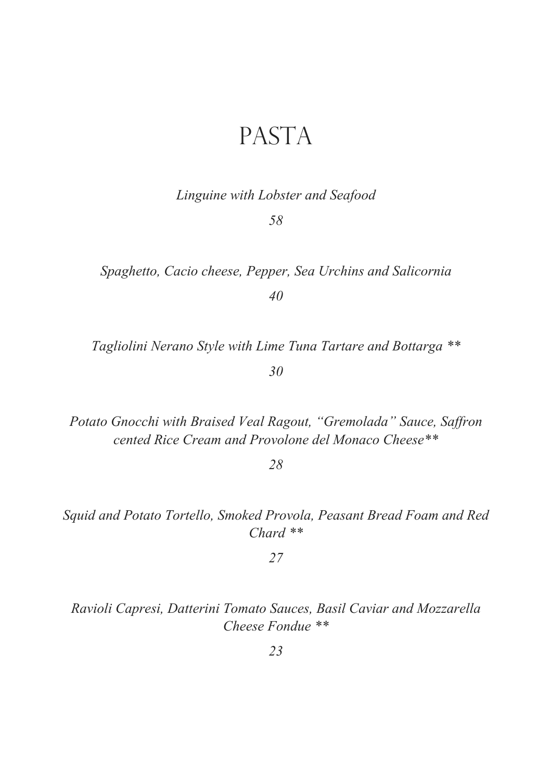### PASTA

*Linguine with Lobster and Seafood*

*58* 

*Spaghetto, Cacio cheese, Pepper, Sea Urchins and Salicornia 40*

*Tagliolini Nerano Style with Lime Tuna Tartare and Bottarga \*\**

*30*

*Potato Gnocchi with Braised Veal Ragout, "Gremolada" Sauce, Saffron cented Rice Cream and Provolone del Monaco Cheese\*\**

*28* 

*Squid and Potato Tortello, Smoked Provola, Peasant Bread Foam and Red Chard \*\**

*27* 

*Ravioli Capresi, Datterini Tomato Sauces, Basil Caviar and Mozzarella Cheese Fondue \*\**

*23*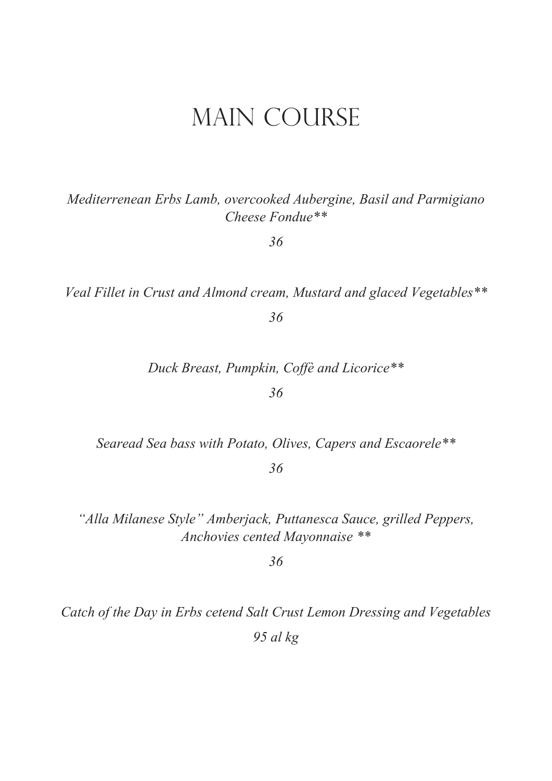### **MAIN COURSE**

Mediterrenean Erbs Lamb, overcooked Aubergine, Basil and Parmigiano Cheese Fondue\*\*

36

Veal Fillet in Crust and Almond cream, Mustard and glaced Vegetables\*\*

36

Duck Breast, Pumpkin, Coffè and Licorice\*\*

36

Searead Sea bass with Potato, Olives, Capers and Escaorele\*\*

36

"Alla Milanese Style" Amberjack, Puttanesca Sauce, grilled Peppers, Anchovies cented Mayonnaise \*\*

36

Catch of the Day in Erbs cetend Salt Crust Lemon Dressing and Vegetables  $95$  al  $kg$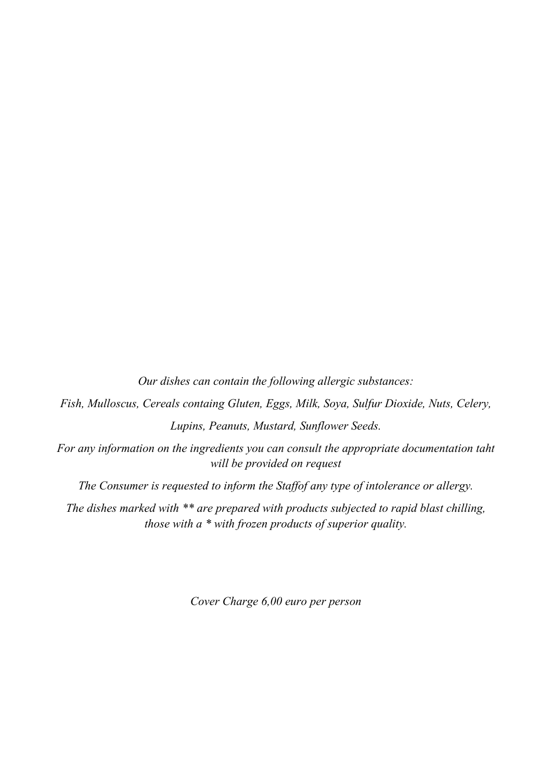*Our dishes can contain the following allergic substances: Fish, Mulloscus, Cereals containg Gluten, Eggs, Milk, Soya, Sulfur Dioxide, Nuts, Celery, Lupins, Peanuts, Mustard, Sunflower Seeds. For any information on the ingredients you can consult the appropriate documentation taht will be provided on request The Consumer is requested to inform the Staffof any type of intolerance or allergy.*

*The dishes marked with \*\* are prepared with products subjected to rapid blast chilling, those with a \* with frozen products of superior quality.*

*Cover Charge 6,00 euro per person*